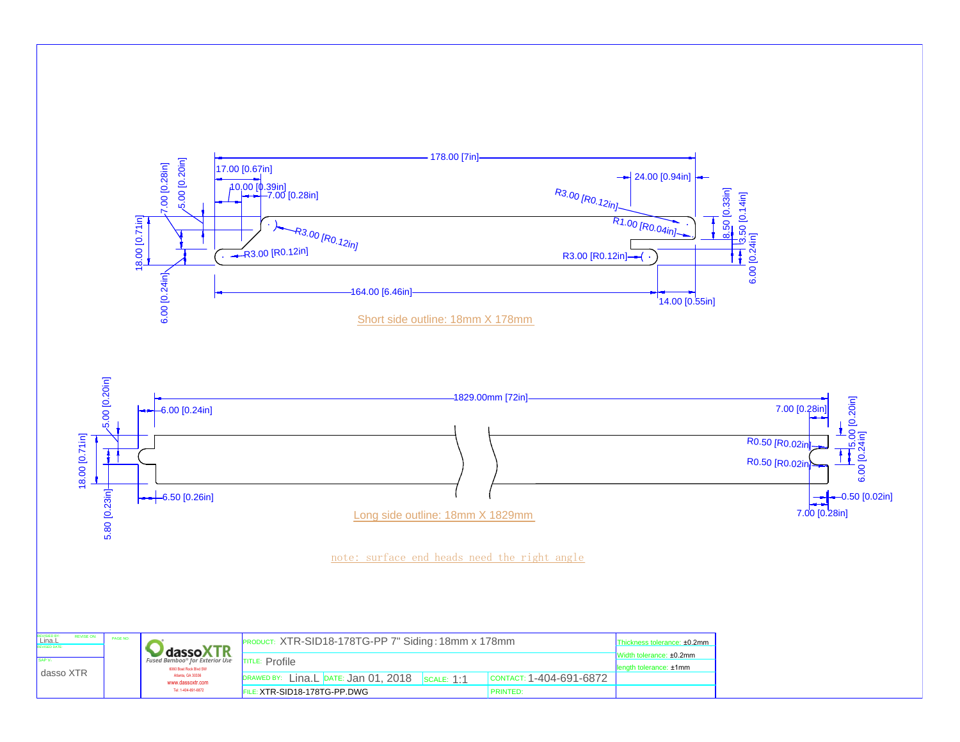